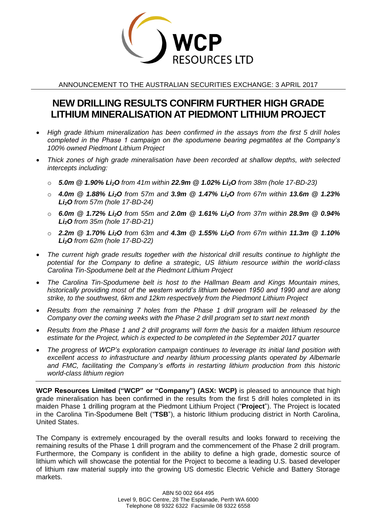

ANNOUNCEMENT TO THE AUSTRALIAN SECURITIES EXCHANGE: 3 APRIL 2017

# **NEW DRILLING RESULTS CONFIRM FURTHER HIGH GRADE LITHIUM MINERALISATION AT PIEDMONT LITHIUM PROJECT**

- *High grade lithium mineralization has been confirmed in the assays from the first 5 drill holes completed in the Phase 1 campaign on the spodumene bearing pegmatites at the Company's 100% owned Piedmont Lithium Project*
- *Thick zones of high grade mineralisation have been recorded at shallow depths, with selected intercepts including:* 
	- o *5.0m @ 1.90% Li2O from 41m within 22.9m @ 1.02% Li2O from 38m (hole 17-BD-23)*
	- o *4.0m @ 1.88% Li2O from 57m and 3.9m @ 1.47% Li2O from 67m within 13.6m @ 1.23% Li2O from 57m (hole 17-BD-24)*
	- o *6.0m @ 1.72% Li2O from 55m and 2.0m @ 1.61% Li2O from 37m within 28.9m @ 0.94% Li2O from 35m (hole 17-BD-21)*
	- o *2.2m @ 1.70% Li2O from 63m and 4.3m @ 1.55% Li2O from 67m within 11.3m @ 1.10% Li2O from 62m (hole 17-BD-22)*
- *The current high grade results together with the historical drill results continue to highlight the potential for the Company to define a strategic, US lithium resource within the world-class Carolina Tin-Spodumene belt at the Piedmont Lithium Project*
- *The Carolina Tin-Spodumene belt is host to the Hallman Beam and Kings Mountain mines, historically providing most of the western world's lithium between 1950 and 1990 and are along strike, to the southwest, 6km and 12km respectively from the Piedmont Lithium Project*
- *Results from the remaining 7 holes from the Phase 1 drill program will be released by the Company over the coming weeks with the Phase 2 drill program set to start next month*
- *Results from the Phase 1 and 2 drill programs will form the basis for a maiden lithium resource estimate for the Project, which is expected to be completed in the September 2017 quarter*
- *The progress of WCP's exploration campaign continues to leverage its initial land position with excellent access to infrastructure and nearby lithium processing plants operated by Albemarle and FMC, facilitating the Company's efforts in restarting lithium production from this historic world-class lithium region*

**WCP Resources Limited ("WCP" or "Company") (ASX: WCP)** is pleased to announce that high grade mineralisation has been confirmed in the results from the first 5 drill holes completed in its maiden Phase 1 drilling program at the Piedmont Lithium Project ("**Project**"). The Project is located in the Carolina Tin-Spodumene Belt ("**TSB**"), a historic lithium producing district in North Carolina, United States.

The Company is extremely encouraged by the overall results and looks forward to receiving the remaining results of the Phase 1 drill program and the commencement of the Phase 2 drill program. Furthermore, the Company is confident in the ability to define a high grade, domestic source of lithium which will showcase the potential for the Project to become a leading U.S. based developer of lithium raw material supply into the growing US domestic Electric Vehicle and Battery Storage markets.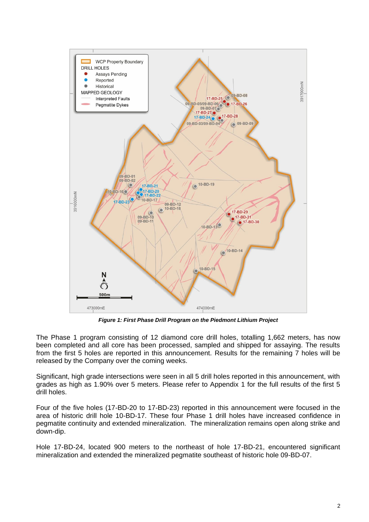

*Figure 1: First Phase Drill Program on the Piedmont Lithium Project*

The Phase 1 program consisting of 12 diamond core drill holes, totalling 1,662 meters, has now been completed and all core has been processed, sampled and shipped for assaying. The results from the first 5 holes are reported in this announcement. Results for the remaining 7 holes will be released by the Company over the coming weeks.

Significant, high grade intersections were seen in all 5 drill holes reported in this announcement, with grades as high as 1.90% over 5 meters. Please refer to Appendix 1 for the full results of the first 5 drill holes.

Four of the five holes (17-BD-20 to 17-BD-23) reported in this announcement were focused in the area of historic drill hole 10-BD-17. These four Phase 1 drill holes have increased confidence in pegmatite continuity and extended mineralization. The mineralization remains open along strike and down-dip.

Hole 17-BD-24, located 900 meters to the northeast of hole 17-BD-21, encountered significant mineralization and extended the mineralized pegmatite southeast of historic hole 09-BD-07.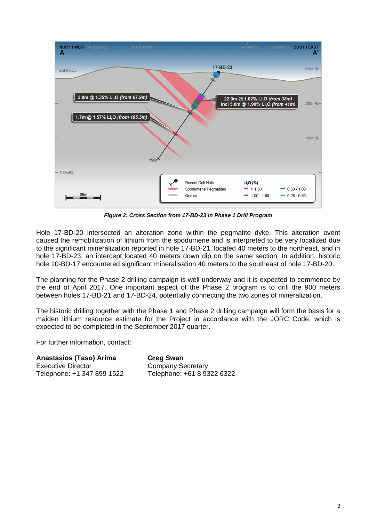

*Figure 2: Cross Section from 17-BD-23 in Phase 1 Drill Program* 

Hole 17-BD-20 intersected an alteration zone within the pegmatite dyke. This alteration event caused the remobilization of lithium from the spodumene and is interpreted to be very localized due to the significant mineralization reported in hole 17-BD-21, located 40 meters to the northeast, and in hole 17-BD-23, an intercept located 40 meters down dip on the same section. In addition, historic hole 10-BD-17 encountered significant mineralisation 40 meters to the southeast of hole 17-BD-20.

The planning for the Phase 2 drilling campaign is well underway and it is expected to commence by the end of April 2017. One important aspect of the Phase 2 program is to drill the 900 meters between holes 17-BD-21 and 17-BD-24, potentially connecting the two zones of mineralization.

The historic drilling together with the Phase 1 and Phase 2 drilling campaign will form the basis for a maiden lithium resource estimate for the Project in accordance with the JORC Code, which is expected to be completed in the September 2017 quarter.

For further information, contact:

**Anastasios (Taso) Arima Greg Swan** Executive Director **Company Secretary** Telephone: +1 347 899 1522 Telephone: +61 8 9322 6322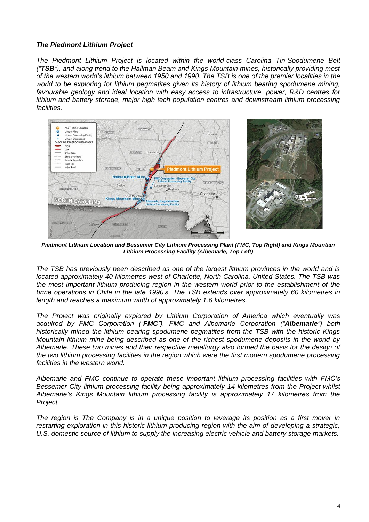## *The Piedmont Lithium Project*

*The Piedmont Lithium Project is located within the world-class Carolina Tin-Spodumene Belt ("TSB"), and along trend to the Hallman Beam and Kings Mountain mines, historically providing most of the western world's lithium between 1950 and 1990. The TSB is one of the premier localities in the world to be exploring for lithium pegmatites given its history of lithium bearing spodumene mining, favourable geology and ideal location with easy access to infrastructure, power, R&D centres for lithium and battery storage, major high tech population centres and downstream lithium processing facilities.* 



*Piedmont Lithium Location and Bessemer City Lithium Processing Plant (FMC, Top Right) and Kings Mountain Lithium Processing Facility (Albemarle, Top Left)*

*The TSB has previously been described as one of the largest lithium provinces in the world and is located approximately 40 kilometres west of Charlotte, North Carolina, United States. The TSB was the most important lithium producing region in the western world prior to the establishment of the brine operations in Chile in the late 1990's. The TSB extends over approximately 60 kilometres in length and reaches a maximum width of approximately 1.6 kilometres.*

*The Project was originally explored by Lithium Corporation of America which eventually was acquired by FMC Corporation ("FMC"). FMC and Albemarle Corporation ("Albemarle") both historically mined the lithium bearing spodumene pegmatites from the TSB with the historic Kings Mountain lithium mine being described as one of the richest spodumene deposits in the world by Albemarle. These two mines and their respective metallurgy also formed the basis for the design of the two lithium processing facilities in the region which were the first modern spodumene processing facilities in the western world.*

*Albemarle and FMC continue to operate these important lithium processing facilities with FMC's Bessemer City lithium processing facility being approximately 14 kilometres from the Project whilst Albemarle's Kings Mountain lithium processing facility is approximately 17 kilometres from the Project.*

*The region is The Company is in a unique position to leverage its position as a first mover in restarting exploration in this historic lithium producing region with the aim of developing a strategic, U.S. domestic source of lithium to supply the increasing electric vehicle and battery storage markets.*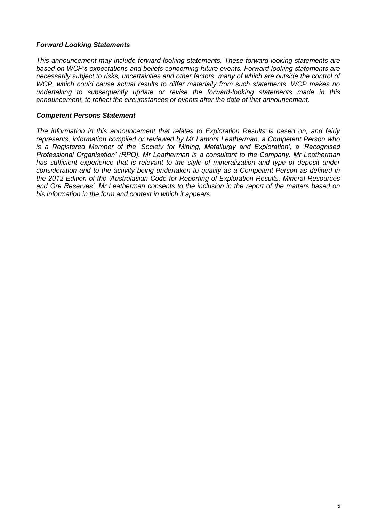## *Forward Looking Statements*

*This announcement may include forward-looking statements. These forward-looking statements are based on WCP's expectations and beliefs concerning future events. Forward looking statements are necessarily subject to risks, uncertainties and other factors, many of which are outside the control of WCP, which could cause actual results to differ materially from such statements. WCP makes no undertaking to subsequently update or revise the forward-looking statements made in this announcement, to reflect the circumstances or events after the date of that announcement.*

## *Competent Persons Statement*

*The information in this announcement that relates to Exploration Results is based on, and fairly represents, information compiled or reviewed by Mr Lamont Leatherman, a Competent Person who is a Registered Member of the 'Society for Mining, Metallurgy and Exploration', a 'Recognised Professional Organisation' (RPO). Mr Leatherman is a consultant to the Company. Mr Leatherman* has sufficient experience that is relevant to the style of mineralization and type of deposit under *consideration and to the activity being undertaken to qualify as a Competent Person as defined in the 2012 Edition of the 'Australasian Code for Reporting of Exploration Results, Mineral Resources and Ore Reserves'. Mr Leatherman consents to the inclusion in the report of the matters based on his information in the form and context in which it appears.*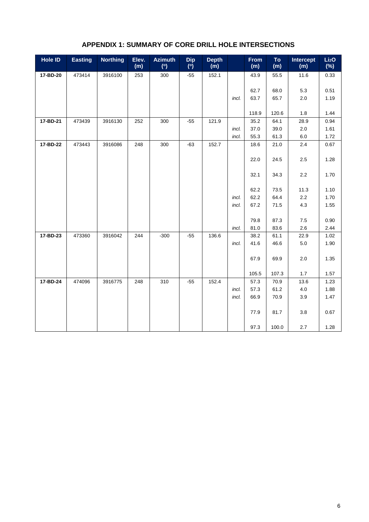| <b>Hole ID</b> | <b>Easting</b> | <b>Northing</b> | Elev.<br>(m) | <b>Azimuth</b><br>(°) | <b>Dip</b><br>(°) | <b>Depth</b><br>(m) |       | <b>From</b><br>(m) | To<br>(m)     | Intercept<br>(m) | Li <sub>2</sub> O<br>$(\%)$ |
|----------------|----------------|-----------------|--------------|-----------------------|-------------------|---------------------|-------|--------------------|---------------|------------------|-----------------------------|
| 17-BD-20       | 473414         | 3916100         | 253          | 300                   | $-55$             | 152.1               |       | 43.9               | 55.5          | 11.6             | 0.33                        |
|                |                |                 |              |                       |                   |                     |       |                    |               |                  |                             |
|                |                |                 |              |                       |                   |                     |       | 62.7               | 68.0          | 5.3              | 0.51                        |
|                |                |                 |              |                       |                   |                     | incl. | 63.7               | 65.7          | 2.0              | 1.19                        |
|                |                |                 |              |                       |                   |                     |       |                    |               |                  |                             |
| 17-BD-21       | 473439         | 3916130         | 252          | 300                   | $-55$             | 121.9               |       | 118.9<br>35.2      | 120.6<br>64.1 | 1.8<br>28.9      | 1.44<br>0.94                |
|                |                |                 |              |                       |                   |                     | incl. | 37.0               | 39.0          | 2.0              | 1.61                        |
|                |                |                 |              |                       |                   |                     | incl. | 55.3               | 61.3          | 6.0              | 1.72                        |
| 17-BD-22       | 473443         | 3916086         | 248          | 300                   | $-63$             | 152.7               |       | 18.6               | 21.0          | 2.4              | 0.67                        |
|                |                |                 |              |                       |                   |                     |       |                    |               |                  |                             |
|                |                |                 |              |                       |                   |                     |       | 22.0               | 24.5          | 2.5              | 1.28                        |
|                |                |                 |              |                       |                   |                     |       |                    |               |                  |                             |
|                |                |                 |              |                       |                   |                     |       | 32.1               | 34.3          | 2.2              | 1.70                        |
|                |                |                 |              |                       |                   |                     |       |                    |               |                  |                             |
|                |                |                 |              |                       |                   |                     |       | 62.2               | 73.5          | 11.3             | 1.10                        |
|                |                |                 |              |                       |                   |                     | incl. | 62.2               | 64.4          | $2.2\,$          | 1.70                        |
|                |                |                 |              |                       |                   |                     | incl. | 67.2               | 71.5          | 4.3              | 1.55                        |
|                |                |                 |              |                       |                   |                     |       | 79.8               |               |                  | 0.90                        |
|                |                |                 |              |                       |                   |                     | incl. | 81.0               | 87.3<br>83.6  | 7.5<br>2.6       | 2.44                        |
| 17-BD-23       | 473360         | 3916042         | 244          | $-300$                | $-55$             | 136.6               |       | 38.2               | 61.1          | 22.9             | 1.02                        |
|                |                |                 |              |                       |                   |                     | incl. | 41.6               | 46.6          | $5.0\,$          | 1.90                        |
|                |                |                 |              |                       |                   |                     |       |                    |               |                  |                             |
|                |                |                 |              |                       |                   |                     |       | 67.9               | 69.9          | 2.0              | 1.35                        |
|                |                |                 |              |                       |                   |                     |       |                    |               |                  |                             |
|                |                |                 |              |                       |                   |                     |       | 105.5              | 107.3         | $1.7$            | 1.57                        |
| 17-BD-24       | 474096         | 3916775         | 248          | 310                   | $-55$             | 152.4               |       | 57.3               | 70.9          | 13.6             | 1.23                        |
|                |                |                 |              |                       |                   |                     | incl. | 57.3               | 61.2          | 4.0              | 1.88                        |
|                |                |                 |              |                       |                   |                     | incl. | 66.9               | 70.9          | 3.9              | 1.47                        |
|                |                |                 |              |                       |                   |                     |       |                    |               |                  |                             |
|                |                |                 |              |                       |                   |                     |       | 77.9               | 81.7          | 3.8              | 0.67                        |
|                |                |                 |              |                       |                   |                     |       | 97.3               | 100.0         | 2.7              | 1.28                        |

## **APPENDIX 1: SUMMARY OF CORE DRILL HOLE INTERSECTIONS**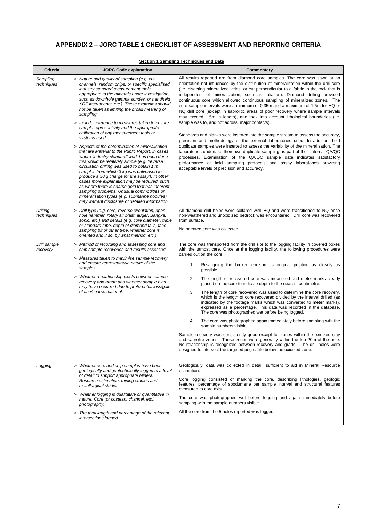## **APPENDIX 2 – JORC TABLE 1 CHECKLIST OF ASSESSMENT AND REPORTING CRITERIA**

| Criteria                 | <b>JORC Code explanation</b>                                                                                                                                                                                                                                                                                                                                                                                                                                                                                                                                                                                                                                                                                                                                                                                                                                                                                                                                                                                                                                                                                                    | Commentary                                                                                                                                                                                                                                                                                                                                                                                                                                                                                                                                                                                                                                                                                                                                                                                                                                                                                                                                                                                                                                                                                                                                                                                                                                                                                               |  |  |
|--------------------------|---------------------------------------------------------------------------------------------------------------------------------------------------------------------------------------------------------------------------------------------------------------------------------------------------------------------------------------------------------------------------------------------------------------------------------------------------------------------------------------------------------------------------------------------------------------------------------------------------------------------------------------------------------------------------------------------------------------------------------------------------------------------------------------------------------------------------------------------------------------------------------------------------------------------------------------------------------------------------------------------------------------------------------------------------------------------------------------------------------------------------------|----------------------------------------------------------------------------------------------------------------------------------------------------------------------------------------------------------------------------------------------------------------------------------------------------------------------------------------------------------------------------------------------------------------------------------------------------------------------------------------------------------------------------------------------------------------------------------------------------------------------------------------------------------------------------------------------------------------------------------------------------------------------------------------------------------------------------------------------------------------------------------------------------------------------------------------------------------------------------------------------------------------------------------------------------------------------------------------------------------------------------------------------------------------------------------------------------------------------------------------------------------------------------------------------------------|--|--|
| Sampling<br>techniques   | > Nature and quality of sampling (e.g. cut<br>channels, random chips, or specific specialised<br>industry standard measurement tools<br>appropriate to the minerals under investigation,<br>such as downhole gamma sondes, or handheld<br>XRF instruments, etc.). These examples should<br>not be taken as limiting the broad meaning of<br>sampling.<br>> Include reference to measures taken to ensure<br>sample representivity and the appropriate<br>calibration of any measurement tools or<br>systems used.<br>> Aspects of the determination of mineralisation<br>that are Material to the Public Report. In cases<br>where 'industry standard' work has been done<br>this would be relatively simple (e.g. 'reverse<br>circulation drilling was used to obtain 1 m<br>samples from which 3 kg was pulverised to<br>produce a 30 g charge for fire assay'). In other<br>cases more explanation may be required, such<br>as where there is coarse gold that has inherent<br>sampling problems. Unusual commodities or<br>mineralisation types (e.g. submarine nodules)<br>may warrant disclosure of detailed information. | All results reported are from diamond core samples. The core was sawn at an<br>orientation not influenced by the distribution of mineralization within the drill core<br>(i.e. bisecting mineralized veins, or cut perpendicular to a fabric in the rock that is<br>independent of mineralization, such as foliation). Diamond drilling provided<br>continuous core which allowed continuous sampling of mineralized zones. The<br>core sample intervals were a minimum of 0.35m and a maximum of 1.5m for HQ or<br>NQ drill core (except in saprolitic areas of poor recovery where sample intervals<br>may exceed 1.5m in length), and took into account lithological boundaries (i.e.<br>sample was to, and not across, major contacts).<br>Standards and blanks were inserted into the sample stream to assess the accuracy,<br>precision and methodology of the external laboratories used. In addition, field<br>duplicate samples were inserted to assess the variability of the mineralisation. The<br>laboratories undertake their own duplicate sampling as part of their internal QA/QC<br>processes. Examination of the QA/QC sample data indicates satisfactory<br>performance of field sampling protocols and assay laboratories providing<br>acceptable levels of precision and accuracy. |  |  |
| Drilling<br>techniques   | > Drill type (e.g. core, reverse circulation, open-<br>hole hammer, rotary air blast, auger, Bangka,<br>sonic, etc.) and details (e.g. core diameter, triple<br>or standard tube, depth of diamond tails, face-<br>sampling bit or other type, whether core is<br>oriented and if so, by what method, etc.).                                                                                                                                                                                                                                                                                                                                                                                                                                                                                                                                                                                                                                                                                                                                                                                                                    | All diamond drill holes were collared with HQ and were transitioned to NQ once<br>non-weathered and unoxidized bedrock was encountered. Drill core was recovered<br>from surface.<br>No oriented core was collected.                                                                                                                                                                                                                                                                                                                                                                                                                                                                                                                                                                                                                                                                                                                                                                                                                                                                                                                                                                                                                                                                                     |  |  |
| Drill sample<br>recovery | > Method of recording and assessing core and<br>chip sample recoveries and results assessed.<br>> Measures taken to maximise sample recovery<br>and ensure representative nature of the<br>samples.<br>> Whether a relationship exists between sample<br>recovery and grade and whether sample bias<br>may have occurred due to preferential loss/gain<br>of fine/coarse material.                                                                                                                                                                                                                                                                                                                                                                                                                                                                                                                                                                                                                                                                                                                                              | The core was transported from the drill site to the logging facility in covered boxes<br>with the utmost care. Once at the logging facility, the following procedures were<br>carried out on the core:<br>Re-aligning the broken core in its original position as closely as<br>1.<br>possible.<br>2.<br>The length of recovered core was measured and meter marks clearly<br>placed on the core to indicate depth to the nearest centimetre.<br>3.<br>The length of core recovered was used to determine the core recovery,<br>which is the length of core recovered divided by the interval drilled (as<br>indicated by the footage marks which was converted to meter marks),<br>expressed as a percentage. This data was recorded in the database.<br>The core was photographed wet before being logged.<br>The core was photographed again immediately before sampling with the<br>4.<br>sample numbers visible.<br>Sample recovery was consistently good except for zones within the oxidized clay<br>and saprolite zones. These zones were generally within the top 20m of the hole.<br>No relationship is recognized between recovery and grade. The drill holes were<br>designed to intersect the targeted pegmatite below the oxidized zone.                                                   |  |  |
| Logging                  | > Whether core and chip samples have been<br>geologically and geotechnically logged to a level<br>of detail to support appropriate Mineral<br>Resource estimation, mining studies and<br>metallurgical studies.<br>> Whether logging is qualitative or quantitative in<br>nature. Core (or costean, channel, etc.)<br>photography.<br>> The total length and percentage of the relevant<br>intersections logged.                                                                                                                                                                                                                                                                                                                                                                                                                                                                                                                                                                                                                                                                                                                | Geologically, data was collected in detail, sufficient to aid in Mineral Resource<br>estimation.<br>Core logging consisted of marking the core, describing lithologies, geologic<br>features, percentage of spodumene per sample interval and structural features<br>measured to core axis.<br>The core was photographed wet before logging and again immediately before<br>sampling with the sample numbers visible.<br>All the core from the 5 holes reported was logged.                                                                                                                                                                                                                                                                                                                                                                                                                                                                                                                                                                                                                                                                                                                                                                                                                              |  |  |

### **Section 1 Sampling Techniques and Data**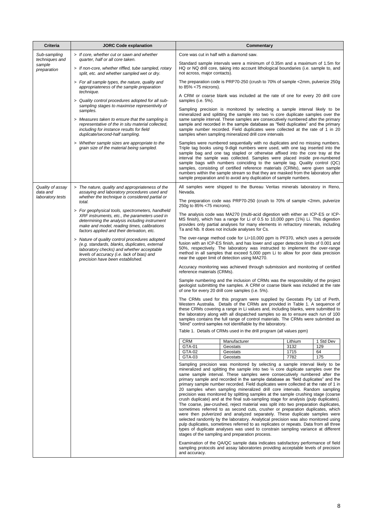| <b>Criteria</b>                         | <b>JORC Code explanation</b>                                                                                                                                                                                                                    |                                          | Commentary                                                                                                                                                                                                                                                                                                                                                                                                                                                                                                                                                                                                                                                                                                                                                                                                                                                                                                                                                                                                                                                                                                                                                                                                                                                                                                                                                                                                                                 |              |           |  |  |
|-----------------------------------------|-------------------------------------------------------------------------------------------------------------------------------------------------------------------------------------------------------------------------------------------------|------------------------------------------|--------------------------------------------------------------------------------------------------------------------------------------------------------------------------------------------------------------------------------------------------------------------------------------------------------------------------------------------------------------------------------------------------------------------------------------------------------------------------------------------------------------------------------------------------------------------------------------------------------------------------------------------------------------------------------------------------------------------------------------------------------------------------------------------------------------------------------------------------------------------------------------------------------------------------------------------------------------------------------------------------------------------------------------------------------------------------------------------------------------------------------------------------------------------------------------------------------------------------------------------------------------------------------------------------------------------------------------------------------------------------------------------------------------------------------------------|--------------|-----------|--|--|
| Sub-sampling                            | > If core, whether cut or sawn and whether                                                                                                                                                                                                      | Core was cut in half with a diamond saw. |                                                                                                                                                                                                                                                                                                                                                                                                                                                                                                                                                                                                                                                                                                                                                                                                                                                                                                                                                                                                                                                                                                                                                                                                                                                                                                                                                                                                                                            |              |           |  |  |
| techniques and<br>sample<br>preparation | quarter, half or all core taken.<br>> If non-core, whether riffled, tube sampled, rotary<br>split, etc. and whether sampled wet or dry.                                                                                                         | not across, major contacts).             | Standard sample intervals were a minimum of 0.35m and a maximum of 1.5m for<br>HQ or NQ drill core, taking into account lithological boundaries (i.e. sample to, and                                                                                                                                                                                                                                                                                                                                                                                                                                                                                                                                                                                                                                                                                                                                                                                                                                                                                                                                                                                                                                                                                                                                                                                                                                                                       |              |           |  |  |
|                                         | > For all sample types, the nature, quality and<br>appropriateness of the sample preparation                                                                                                                                                    | to $85\% < 75$ microns).                 | The preparation code is PRP70-250 (crush to 70% of sample <2mm, pulverize 250g                                                                                                                                                                                                                                                                                                                                                                                                                                                                                                                                                                                                                                                                                                                                                                                                                                                                                                                                                                                                                                                                                                                                                                                                                                                                                                                                                             |              |           |  |  |
|                                         | technique.<br>> Quality control procedures adopted for all sub-<br>sampling stages to maximise representivity of                                                                                                                                | samples (i.e. 5%).                       | A CRM or coarse blank was included at the rate of one for every 20 drill core                                                                                                                                                                                                                                                                                                                                                                                                                                                                                                                                                                                                                                                                                                                                                                                                                                                                                                                                                                                                                                                                                                                                                                                                                                                                                                                                                              |              |           |  |  |
|                                         | samples.<br>> Measures taken to ensure that the sampling is<br>representative of the in situ material collected,<br>including for instance results for field<br>duplicate/second-half sampling.                                                 |                                          | Sampling precision is monitored by selecting a sample interval likely to be<br>mineralized and splitting the sample into two $\frac{1}{4}$ core duplicate samples over the<br>same sample interval. These samples are consecutively numbered after the primary<br>sample and recorded in the sample database as "field duplicates" and the primary<br>sample number recorded. Field duplicates were collected at the rate of 1 in 20<br>samples when sampling mineralized drill core intervals                                                                                                                                                                                                                                                                                                                                                                                                                                                                                                                                                                                                                                                                                                                                                                                                                                                                                                                                             |              |           |  |  |
|                                         | > Whether sample sizes are appropriate to the<br>grain size of the material being sampled.                                                                                                                                                      |                                          | Samples were numbered sequentially with no duplicates and no missing numbers.<br>Triple tag books using 9-digit numbers were used, with one tag inserted into the<br>sample bag and one tag stapled or otherwise affixed into the core tray at the<br>interval the sample was collected. Samples were placed inside pre-numbered<br>sample bags with numbers coinciding to the sample tag. Quality control (QC)<br>samples, consisting of certified reference materials (CRMs), were given sample<br>numbers within the sample stream so that they are masked from the laboratory after<br>sample preparation and to avoid any duplication of sample numbers.                                                                                                                                                                                                                                                                                                                                                                                                                                                                                                                                                                                                                                                                                                                                                                              |              |           |  |  |
| Quality of assay<br>data and            | > The nature, quality and appropriateness of the<br>assaying and laboratory procedures used and                                                                                                                                                 | Nevada.                                  | All samples were shipped to the Bureau Veritas minerals laboratory in Reno,                                                                                                                                                                                                                                                                                                                                                                                                                                                                                                                                                                                                                                                                                                                                                                                                                                                                                                                                                                                                                                                                                                                                                                                                                                                                                                                                                                |              |           |  |  |
| laboratory tests                        | whether the technique is considered partial or<br>total.                                                                                                                                                                                        | 250g to 85% <75 microns).                | The preparation code was PRP70-250 (crush to 70% of sample <2mm, pulverize                                                                                                                                                                                                                                                                                                                                                                                                                                                                                                                                                                                                                                                                                                                                                                                                                                                                                                                                                                                                                                                                                                                                                                                                                                                                                                                                                                 |              |           |  |  |
|                                         | > For geophysical tools, spectrometers, handheld<br>XRF instruments, etc., the parameters used in<br>determining the analysis including instrument<br>make and model, reading times, calibrations<br>factors applied and their derivation, etc. |                                          | The analysis code was MA270 (multi-acid digestion with either an ICP-ES or ICP-<br>MS finish), which has a range for Li of 0.5 to 10,000 ppm (1%) Li. This digestion<br>provides only partial analyses for many elements in refractory minerals, including<br>Ta and Nb. It does not include analyses for Cs.                                                                                                                                                                                                                                                                                                                                                                                                                                                                                                                                                                                                                                                                                                                                                                                                                                                                                                                                                                                                                                                                                                                              |              |           |  |  |
|                                         | > Nature of quality control procedures adopted<br>(e.g. standards, blanks, duplicates, external<br>laboratory checks) and whether acceptable<br>levels of accuracy (i.e. lack of bias) and<br>precision have been established.                  |                                          | The over-range method code for Li>10,000 ppm is PF370, which uses a peroxide<br>fusion with an ICP-ES finish, and has lower and upper detection limits of 0.001 and<br>50%, respectively. The laboratory was instructed to implement the over-range<br>method in all samples that exceed 5,000 ppm Li to allow for poor data precision<br>near the upper limit of detection using MA270.                                                                                                                                                                                                                                                                                                                                                                                                                                                                                                                                                                                                                                                                                                                                                                                                                                                                                                                                                                                                                                                   |              |           |  |  |
|                                         |                                                                                                                                                                                                                                                 | reference materials (CRMs).              | Accuracy monitoring was achieved through submission and monitoring of certified                                                                                                                                                                                                                                                                                                                                                                                                                                                                                                                                                                                                                                                                                                                                                                                                                                                                                                                                                                                                                                                                                                                                                                                                                                                                                                                                                            |              |           |  |  |
|                                         |                                                                                                                                                                                                                                                 |                                          | Sample numbering and the inclusion of CRMs was the responsibility of the project<br>geologist submitting the samples. A CRM or coarse blank was included at the rate<br>of one for every 20 drill core samples (i.e. 5%).                                                                                                                                                                                                                                                                                                                                                                                                                                                                                                                                                                                                                                                                                                                                                                                                                                                                                                                                                                                                                                                                                                                                                                                                                  |              |           |  |  |
|                                         |                                                                                                                                                                                                                                                 |                                          | The CRMs used for this program were supplied by Geostats Pty Ltd of Perth,<br>Western Australia. Details of the CRMs are provided in Table 1. A sequence of<br>these CRMs covering a range in Li values and, including blanks, were submitted to<br>the laboratory along with all dispatched samples so as to ensure each run of 100<br>samples contains the full range of control materials. The CRMs were submitted as<br>"blind" control samples not identifiable by the laboratory.<br>Table 1. Details of CRMs used in the drill program (all values ppm)                                                                                                                                                                                                                                                                                                                                                                                                                                                                                                                                                                                                                                                                                                                                                                                                                                                                             |              |           |  |  |
|                                         |                                                                                                                                                                                                                                                 | <b>CRM</b>                               | Manufacturer                                                                                                                                                                                                                                                                                                                                                                                                                                                                                                                                                                                                                                                                                                                                                                                                                                                                                                                                                                                                                                                                                                                                                                                                                                                                                                                                                                                                                               | Lithium      | 1 Std Dev |  |  |
|                                         |                                                                                                                                                                                                                                                 | GTA-01<br>GTA-02                         | Geostats<br>Geostats                                                                                                                                                                                                                                                                                                                                                                                                                                                                                                                                                                                                                                                                                                                                                                                                                                                                                                                                                                                                                                                                                                                                                                                                                                                                                                                                                                                                                       | 3132<br>1715 | 129<br>64 |  |  |
|                                         |                                                                                                                                                                                                                                                 | GTA-03                                   | Geostats                                                                                                                                                                                                                                                                                                                                                                                                                                                                                                                                                                                                                                                                                                                                                                                                                                                                                                                                                                                                                                                                                                                                                                                                                                                                                                                                                                                                                                   | 7782         | 175       |  |  |
|                                         |                                                                                                                                                                                                                                                 |                                          | Sampling precision was monitored by selecting a sample interval likely to be<br>mineralized and splitting the sample into two 1/4 core duplicate samples over the<br>same sample interval. These samples were consecutively numbered after the<br>primary sample and recorded in the sample database as "field duplicates" and the<br>primary sample number recorded. Field duplicates were collected at the rate of 1 in<br>20 samples when sampling mineralized drill core intervals. Random sampling<br>precision was monitored by splitting samples at the sample crushing stage (coarse<br>crush duplicate) and at the final sub-sampling stage for analysis (pulp duplicates).<br>The coarse, jaw-crushed, reject material was split into two preparation duplicates,<br>sometimes referred to as second cuts, crusher or preparation duplicates, which<br>were then pulverized and analyzed separately. These duplicate samples were<br>selected randomly by the laboratory. Analytical precision was also monitored using<br>pulp duplicates, sometimes referred to as replicates or repeats. Data from all three<br>types of duplicate analyses was used to constrain sampling variance at different<br>stages of the sampling and preparation process.<br>Examination of the QA/QC sample data indicates satisfactory performance of field<br>sampling protocols and assay laboratories providing acceptable levels of precision |              |           |  |  |
|                                         |                                                                                                                                                                                                                                                 | and accuracy.                            |                                                                                                                                                                                                                                                                                                                                                                                                                                                                                                                                                                                                                                                                                                                                                                                                                                                                                                                                                                                                                                                                                                                                                                                                                                                                                                                                                                                                                                            |              |           |  |  |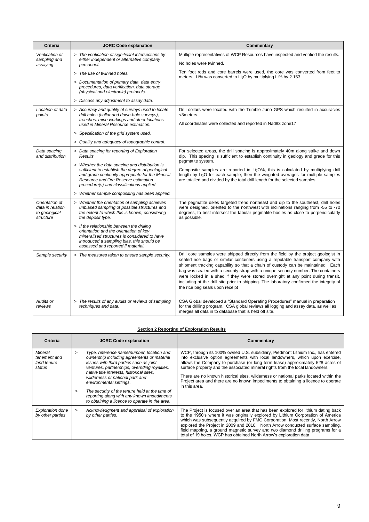| Criteria                                                         | <b>JORC Code explanation</b>                                                                                                                                                                                                               | Commentary                                                                                                                                                                                                                                                                                                                                                                                                                                                                                                                                                         |
|------------------------------------------------------------------|--------------------------------------------------------------------------------------------------------------------------------------------------------------------------------------------------------------------------------------------|--------------------------------------------------------------------------------------------------------------------------------------------------------------------------------------------------------------------------------------------------------------------------------------------------------------------------------------------------------------------------------------------------------------------------------------------------------------------------------------------------------------------------------------------------------------------|
| Verification of<br>sampling and                                  | > The verification of significant intersections by<br>either independent or alternative company                                                                                                                                            | Multiple representatives of WCP Resources have inspected and verified the results.                                                                                                                                                                                                                                                                                                                                                                                                                                                                                 |
| assaying                                                         | personnel.                                                                                                                                                                                                                                 | No holes were twinned.                                                                                                                                                                                                                                                                                                                                                                                                                                                                                                                                             |
|                                                                  | > The use of twinned holes.                                                                                                                                                                                                                | Ten foot rods and core barrels were used, the core was converted from feet to<br>meters. Li% was converted to Li <sub>2</sub> O by multiplying Li% by 2.153.                                                                                                                                                                                                                                                                                                                                                                                                       |
|                                                                  | > Documentation of primary data, data entry<br>procedures, data verification, data storage<br>(physical and electronic) protocols.                                                                                                         |                                                                                                                                                                                                                                                                                                                                                                                                                                                                                                                                                                    |
|                                                                  | > Discuss any adjustment to assay data.                                                                                                                                                                                                    |                                                                                                                                                                                                                                                                                                                                                                                                                                                                                                                                                                    |
| Location of data<br>points                                       | > Accuracy and quality of surveys used to locate<br>drill holes (collar and down-hole surveys),<br>trenches, mine workings and other locations                                                                                             | Drill collars were located with the Trimble Juno GPS which resulted in accuracies<br><3meters.                                                                                                                                                                                                                                                                                                                                                                                                                                                                     |
|                                                                  | used in Mineral Resource estimation.                                                                                                                                                                                                       | All coordinates were collected and reported in Nad83 zone17                                                                                                                                                                                                                                                                                                                                                                                                                                                                                                        |
|                                                                  | > Specification of the grid system used.                                                                                                                                                                                                   |                                                                                                                                                                                                                                                                                                                                                                                                                                                                                                                                                                    |
|                                                                  | > Quality and adequacy of topographic control.                                                                                                                                                                                             |                                                                                                                                                                                                                                                                                                                                                                                                                                                                                                                                                                    |
| Data spacing<br>and distribution                                 | > Data spacing for reporting of Exploration<br>Results.                                                                                                                                                                                    | For selected areas, the drill spacing is approximately 40m along strike and down<br>dip. This spacing is sufficient to establish continuity in geology and grade for this<br>pegmatite system.                                                                                                                                                                                                                                                                                                                                                                     |
|                                                                  | > Whether the data spacing and distribution is<br>sufficient to establish the degree of geological<br>and grade continuity appropriate for the Mineral<br>Resource and Ore Reserve estimation<br>procedure(s) and classifications applied. | Composite samples are reported in Li <sub>2</sub> O%, this is calculated by multiplying drill<br>length by Li <sub>2</sub> O for each sample; then the weighted averages for multiple samples<br>are totalled and divided by the total drill length for the selected samples                                                                                                                                                                                                                                                                                       |
|                                                                  | > Whether sample compositing has been applied.                                                                                                                                                                                             |                                                                                                                                                                                                                                                                                                                                                                                                                                                                                                                                                                    |
| Orientation of<br>data in relation<br>to geological<br>structure | > Whether the orientation of sampling achieves<br>unbiased sampling of possible structures and<br>the extent to which this is known, considering<br>the deposit type.                                                                      | The pegmatite dikes targeted trend northeast and dip to the southeast, drill holes<br>were designed, oriented to the northwest with inclinations ranging from -55 to -70<br>degrees, to best intersect the tabular pegmatite bodies as close to perpendicularly<br>as possible.                                                                                                                                                                                                                                                                                    |
|                                                                  | > If the relationship between the drilling<br>orientation and the orientation of key<br>mineralised structures is considered to have<br>introduced a sampling bias, this should be<br>assessed and reported if material.                   |                                                                                                                                                                                                                                                                                                                                                                                                                                                                                                                                                                    |
| Sample security                                                  | > The measures taken to ensure sample security.                                                                                                                                                                                            | Drill core samples were shipped directly from the field by the project geologist in<br>sealed rice bags or similar containers using a reputable transport company with<br>shipment tracking capability so that a chain of custody can be maintained. Each<br>bag was sealed with a security strap with a unique security number. The containers<br>were locked in a shed if they were stored overnight at any point during transit,<br>including at the drill site prior to shipping. The laboratory confirmed the integrity of<br>the rice bag seals upon receipt |
| Audits or<br>reviews                                             | > The results of any audits or reviews of sampling<br>techniques and data.                                                                                                                                                                 | CSA Global developed a "Standard Operating Procedures" manual in preparation<br>for the drilling program. CSA global reviews all logging and assay data, as well as<br>merges all data in to database that is held off site.                                                                                                                                                                                                                                                                                                                                       |

### **Section 2 Reporting of Exploration Results**

| Criteria                                         | <b>JORC Code explanation</b>                                                                                                                                                                                                                                                                                                                                                                                                                                               | Commentary                                                                                                                                                                                                                                                                                                                                                                                                                                                                                                                       |
|--------------------------------------------------|----------------------------------------------------------------------------------------------------------------------------------------------------------------------------------------------------------------------------------------------------------------------------------------------------------------------------------------------------------------------------------------------------------------------------------------------------------------------------|----------------------------------------------------------------------------------------------------------------------------------------------------------------------------------------------------------------------------------------------------------------------------------------------------------------------------------------------------------------------------------------------------------------------------------------------------------------------------------------------------------------------------------|
| Mineral<br>tenement and<br>land tenure<br>status | Type, reference name/number, location and<br>$\geq$<br>ownership including agreements or material<br>issues with third parties such as joint<br>ventures, partnerships, overriding royalties,<br>native title interests, historical sites.<br>wilderness or national park and<br>environmental settings.<br>The security of the tenure held at the time of<br>$\mathbf{v}$<br>reporting along with any known impediments<br>to obtaining a licence to operate in the area. | WCP, through its 100% owned U.S. subsidiary, Piedmont Lithium Inc., has entered<br>into exclusive option agreements with local landowners, which upon exercise,<br>allows the Company to purchase (or long term lease) approximately 528 acres of<br>surface property and the associated mineral rights from the local landowners.<br>There are no known historical sites, wilderness or national parks located within the<br>Project area and there are no known impediments to obtaining a licence to operate<br>in this area. |
| <b>Exploration done</b><br>by other parties      | Acknowledgment and appraisal of exploration<br>$\geq$<br>by other parties.                                                                                                                                                                                                                                                                                                                                                                                                 | The Project is focused over an area that has been explored for lithium dating back<br>to the 1950's where it was originally explored by Lithium Corporation of America<br>which was subsequently acquired by FMC Corporation. Most recently, North Arrow<br>explored the Project in 2009 and 2010. North Arrow conducted surface sampling,<br>field mapping, a ground magnetic survey and two diamond drilling programs for a<br>total of 19 holes. WCP has obtained North Arrow's exploration data.                             |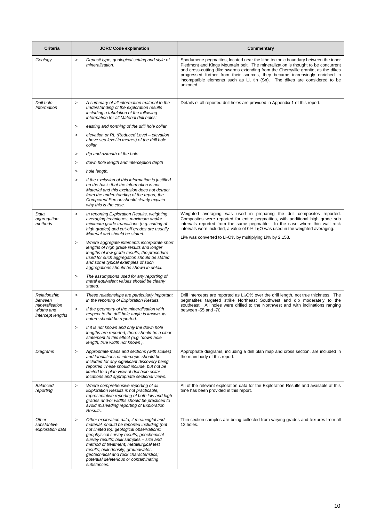| Criteria                                  | <b>JORC Code explanation</b>                                                                                                                                                                                                                                                                                                                                                                                               | Commentary                                                                                                                                                                                                                                                                                                                                                                                                                          |  |  |
|-------------------------------------------|----------------------------------------------------------------------------------------------------------------------------------------------------------------------------------------------------------------------------------------------------------------------------------------------------------------------------------------------------------------------------------------------------------------------------|-------------------------------------------------------------------------------------------------------------------------------------------------------------------------------------------------------------------------------------------------------------------------------------------------------------------------------------------------------------------------------------------------------------------------------------|--|--|
| Geology                                   | $\, >$<br>Deposit type, geological setting and style of<br>mineralisation.                                                                                                                                                                                                                                                                                                                                                 | Spodumene pegmatites, located near the litho tectonic boundary between the inner<br>Piedmont and Kings Mountain belt. The mineralization is thought to be concurrent<br>and cross-cutting dike swarms extending from the Cherryville granite, as the dikes<br>progressed further from their sources, they became increasingly enriched in<br>incompatible elements such as Li, tin (Sn). The dikes are considered to be<br>unzoned. |  |  |
| Drill hole<br>Information                 | A summary of all information material to the<br>$\, >$<br>understanding of the exploration results<br>including a tabulation of the following<br>information for all Material drill holes:                                                                                                                                                                                                                                 | Details of all reported drill holes are provided in Appendix 1 of this report.                                                                                                                                                                                                                                                                                                                                                      |  |  |
|                                           | easting and northing of the drill hole collar<br>>                                                                                                                                                                                                                                                                                                                                                                         |                                                                                                                                                                                                                                                                                                                                                                                                                                     |  |  |
|                                           | elevation or RL (Reduced Level - elevation<br>$\geq$<br>above sea level in metres) of the drill hole<br>collar                                                                                                                                                                                                                                                                                                             |                                                                                                                                                                                                                                                                                                                                                                                                                                     |  |  |
|                                           | dip and azimuth of the hole<br>$\,>$                                                                                                                                                                                                                                                                                                                                                                                       |                                                                                                                                                                                                                                                                                                                                                                                                                                     |  |  |
|                                           | down hole length and interception depth<br>$\, >$                                                                                                                                                                                                                                                                                                                                                                          |                                                                                                                                                                                                                                                                                                                                                                                                                                     |  |  |
|                                           | hole length.<br>$\geq$                                                                                                                                                                                                                                                                                                                                                                                                     |                                                                                                                                                                                                                                                                                                                                                                                                                                     |  |  |
|                                           | If the exclusion of this information is justified<br>$\geq$<br>on the basis that the information is not<br>Material and this exclusion does not detract<br>from the understanding of the report, the<br>Competent Person should clearly explain<br>why this is the case.                                                                                                                                                   |                                                                                                                                                                                                                                                                                                                                                                                                                                     |  |  |
| Data<br>aggregation<br>methods            | In reporting Exploration Results, weighting<br>$\, >$<br>averaging techniques, maximum and/or<br>minimum grade truncations (e.g. cutting of<br>high grades) and cut-off grades are usually<br>Material and should be stated.                                                                                                                                                                                               | Weighted averaging was used in preparing the drill composites reported.<br>Composites were reported for entire pegmatites, with additional high grade sub<br>intervals reported from the same pegmatite. In the case where thin wall rock<br>intervals were included, a value of 0% Li <sub>2</sub> O was used in the weighted averaging.<br>Li% was converted to Li <sub>2</sub> O% by multiplying Li% by 2.153.                   |  |  |
|                                           | Where aggregate intercepts incorporate short<br>$\geq$<br>lengths of high grade results and longer<br>lengths of low grade results, the procedure<br>used for such aggregation should be stated<br>and some typical examples of such<br>aggregations should be shown in detail.                                                                                                                                            |                                                                                                                                                                                                                                                                                                                                                                                                                                     |  |  |
|                                           | The assumptions used for any reporting of<br>$\geq$<br>metal equivalent values should be clearly<br>stated.                                                                                                                                                                                                                                                                                                                |                                                                                                                                                                                                                                                                                                                                                                                                                                     |  |  |
| Relationship<br>between<br>mineralisation | These relationships are particularly important<br>$\,$<br>in the reporting of Exploration Results.                                                                                                                                                                                                                                                                                                                         | Drill intercepts are reported as Li <sub>2</sub> O% over the drill length, not true thickness. The<br>pegmatites targeted strike Northeast Southwest and dip moderately to the<br>southeast. All holes were drilled to the Northwest and with inclinations ranging                                                                                                                                                                  |  |  |
| widths and<br>intercept lengths           | If the geometry of the mineralisation with<br>$\, >$<br>respect to the drill hole angle is known, its<br>nature should be reported.                                                                                                                                                                                                                                                                                        | between -55 and -70.                                                                                                                                                                                                                                                                                                                                                                                                                |  |  |
|                                           | If it is not known and only the down hole<br>$\,>$<br>lengths are reported, there should be a clear<br>statement to this effect (e.g. 'down hole<br>length, true width not known').                                                                                                                                                                                                                                        |                                                                                                                                                                                                                                                                                                                                                                                                                                     |  |  |
| Diagrams                                  | Appropriate maps and sections (with scales)<br>$\, >$<br>and tabulations of intercepts should be<br>included for any significant discovery being<br>reported These should include, but not be<br>limited to a plan view of drill hole collar<br>locations and appropriate sectional views.                                                                                                                                 | Appropriate diagrams, including a drill plan map and cross section, are included in<br>the main body of this report.                                                                                                                                                                                                                                                                                                                |  |  |
| Balanced<br>reporting                     | Where comprehensive reporting of all<br>$\, >$<br>Exploration Results is not practicable,<br>representative reporting of both low and high<br>grades and/or widths should be practiced to<br>avoid misleading reporting of Exploration<br>Results.                                                                                                                                                                         | All of the relevant exploration data for the Exploration Results and available at this<br>time has been provided in this report.                                                                                                                                                                                                                                                                                                    |  |  |
| Other<br>substantive<br>exploration data  | Other exploration data, if meaningful and<br>$\geq$<br>material, should be reported including (but<br>not limited to): geological observations;<br>geophysical survey results; geochemical<br>survey results; bulk samples - size and<br>method of treatment; metallurgical test<br>results; bulk density, groundwater,<br>geotechnical and rock characteristics;<br>potential deleterious or contaminating<br>substances. | Thin section samples are being collected from varying grades and textures from all<br>12 holes.                                                                                                                                                                                                                                                                                                                                     |  |  |